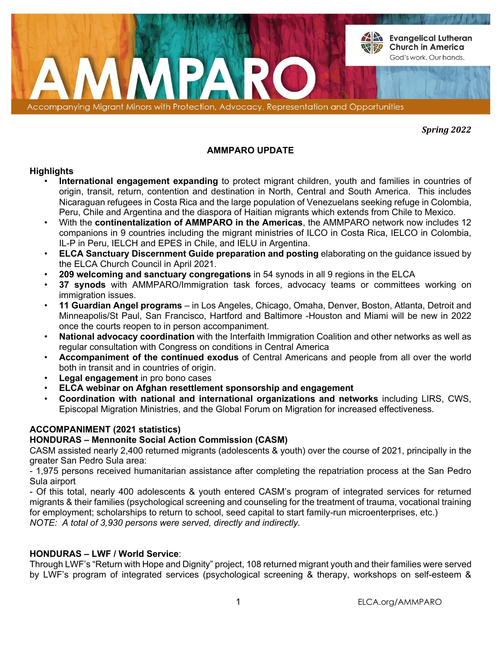

*Spring 2022*

# **AMMPARO UPDATE**

## **Highlights**

- **International engagement expanding** to protect migrant children, youth and families in countries of origin, transit, return, contention and destination in North, Central and South America. This includes Nicaraguan refugees in Costa Rica and the large population of Venezuelans seeking refuge in Colombia, Peru, Chile and Argentina and the diaspora of Haitian migrants which extends from Chile to Mexico.
- With the **continentalization of AMMPARO in the Americas**, the AMMPARO network now includes 12 companions in 9 countries including the migrant ministries of ILCO in Costa Rica, IELCO in Colombia, IL-P in Peru, IELCH and EPES in Chile, and IELU in Argentina.
- **ELCA Sanctuary Discernment Guide preparation and posting** elaborating on the guidance issued by the ELCA Church Council in April 2021.
- **209 welcoming and sanctuary congregations** in 54 synods in all 9 regions in the ELCA
- **37 synods** with AMMPARO/Immigration task forces, advocacy teams or committees working on immigration issues.
- **11 Guardian Angel programs**  in Los Angeles, Chicago, Omaha, Denver, Boston, Atlanta, Detroit and Minneapolis/St Paul, San Francisco, Hartford and Baltimore -Houston and Miami will be new in 2022 once the courts reopen to in person accompaniment.
- **National advocacy coordination** with the Interfaith Immigration Coalition and other networks as well as regular consultation with Congress on conditions in Central America
- **Accompaniment of the continued exodus** of Central Americans and people from all over the world both in transit and in countries of origin.
- **Legal engagement** in pro bono cases
- **ELCA webinar on Afghan resettlement sponsorship and engagement**
- **Coordination with national and international organizations and networks** including LIRS, CWS, Episcopal Migration Ministries, and the Global Forum on Migration for increased effectiveness.

# **ACCOMPANIMENT (2021 statistics)**

## **HONDURAS – Mennonite Social Action Commission (CASM)**

CASM assisted nearly 2,400 returned migrants (adolescents & youth) over the course of 2021, principally in the greater San Pedro Sula area:

- 1,975 persons received humanitarian assistance after completing the repatriation process at the San Pedro Sula airport

- Of this total, nearly 400 adolescents & youth entered CASM's program of integrated services for returned migrants & their families (psychological screening and counseling for the treatment of trauma, vocational training for employment; scholarships to return to school, seed capital to start family-run microenterprises, etc.) *NOTE: A total of 3,930 persons were served, directly and indirectly.* 

## **HONDURAS – LWF / World Service**:

Through LWF's "Return with Hope and Dignity" project, 108 returned migrant youth and their families were served by LWF's program of integrated services (psychological screening & therapy, workshops on self-esteem &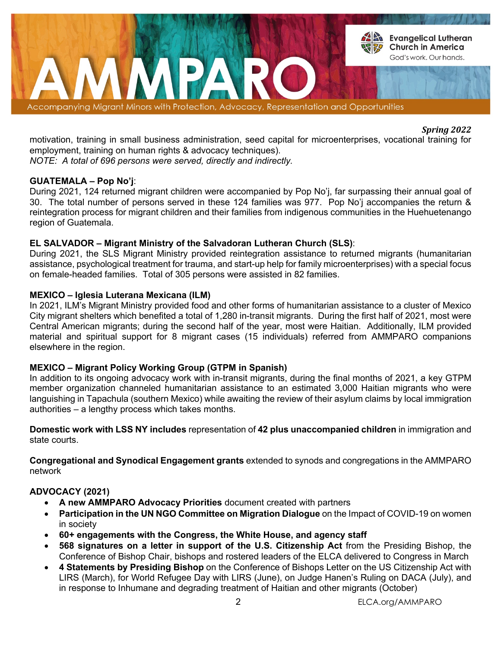

## *Spring 2022*

motivation, training in small business administration, seed capital for microenterprises, vocational training for employment, training on human rights & advocacy techniques).

*NOTE: A total of 696 persons were served, directly and indirectly.* 

# **GUATEMALA – Pop No'j**:

During 2021, 124 returned migrant children were accompanied by Pop No'j, far surpassing their annual goal of 30. The total number of persons served in these 124 families was 977. Pop No'j accompanies the return & reintegration process for migrant children and their families from indigenous communities in the Huehuetenango region of Guatemala.

# **EL SALVADOR – Migrant Ministry of the Salvadoran Lutheran Church (SLS)**:

During 2021, the SLS Migrant Ministry provided reintegration assistance to returned migrants (humanitarian assistance, psychological treatment for trauma, and start-up help for family microenterprises) with a special focus on female-headed families. Total of 305 persons were assisted in 82 families.

## **MEXICO – Iglesia Luterana Mexicana (ILM)**

In 2021, ILM's Migrant Ministry provided food and other forms of humanitarian assistance to a cluster of Mexico City migrant shelters which benefited a total of 1,280 in-transit migrants. During the first half of 2021, most were Central American migrants; during the second half of the year, most were Haitian. Additionally, ILM provided material and spiritual support for 8 migrant cases (15 individuals) referred from AMMPARO companions elsewhere in the region.

# **MEXICO – Migrant Policy Working Group (GTPM in Spanish)**

In addition to its ongoing advocacy work with in-transit migrants, during the final months of 2021, a key GTPM member organization channeled humanitarian assistance to an estimated 3,000 Haitian migrants who were languishing in Tapachula (southern Mexico) while awaiting the review of their asylum claims by local immigration authorities – a lengthy process which takes months.

**Domestic work with LSS NY includes** representation of **42 plus unaccompanied children** in immigration and state courts.

**Congregational and Synodical Engagement grants** extended to synods and congregations in the AMMPARO network

# **ADVOCACY (2021)**

- **A new AMMPARO Advocacy Priorities** document created with partners
- **Participation in the UN NGO Committee on Migration Dialogue** on the Impact of COVID-19 on women in society
- **60+ engagements with the Congress, the White House, and agency staff**
- **568 signatures on a letter in support of the U.S. Citizenship Act** from the Presiding Bishop, the Conference of Bishop Chair, bishops and rostered leaders of the ELCA delivered to Congress in March
- **4 Statements by Presiding Bishop** on the Conference of Bishops Letter on the US Citizenship Act with LIRS (March), for World Refugee Day with LIRS (June), on Judge Hanen's Ruling on DACA (July), and in response to Inhumane and degrading treatment of Haitian and other migrants (October)